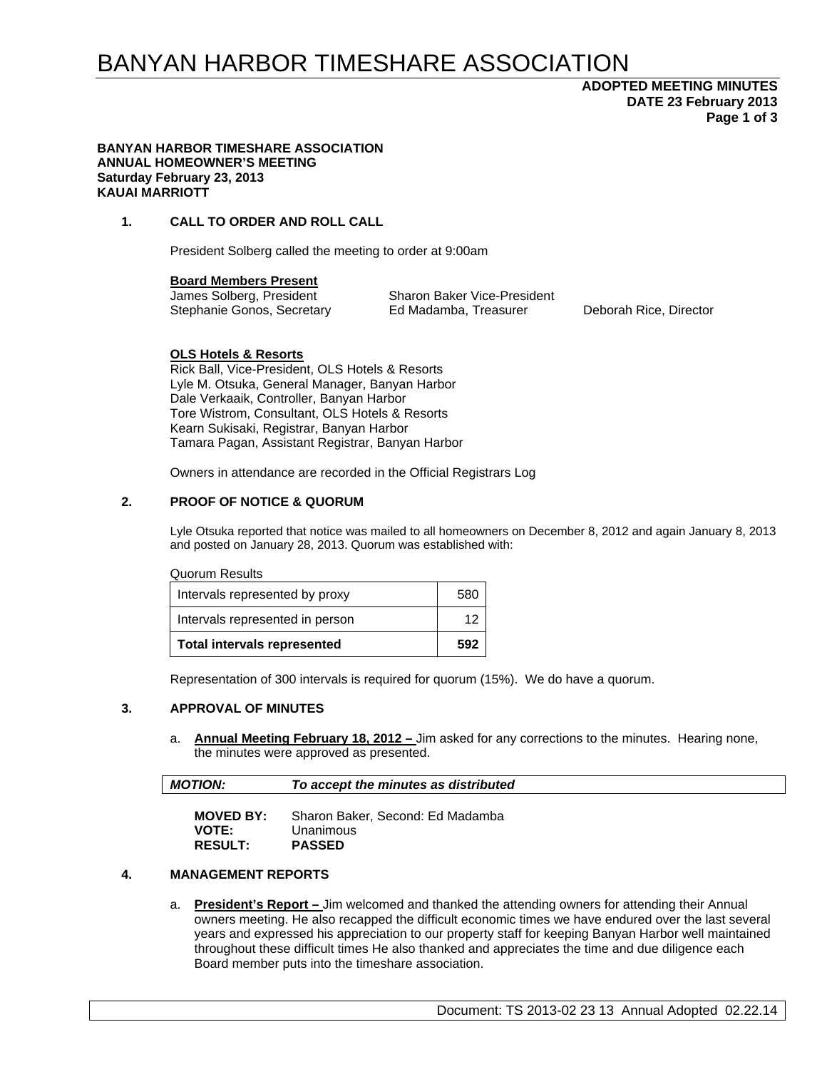# BANYAN HARBOR TIMESHARE ASSOCIATION

## **ADOPTED MEETING MINUTES DATE 23 February 2013 Page 1 of 3**

#### **BANYAN HARBOR TIMESHARE ASSOCIATION ANNUAL HOMEOWNER'S MEETING Saturday February 23, 2013 KAUAI MARRIOTT**

### **1. CALL TO ORDER AND ROLL CALL**

President Solberg called the meeting to order at 9:00am

**Board Members Present** 

James Solberg, President Sharon Baker Vice-President Stephanie Gonos, Secretary Ed Madamba, Treasurer Deborah Rice, Director

### **OLS Hotels & Resorts**

Rick Ball, Vice-President, OLS Hotels & Resorts Lyle M. Otsuka, General Manager, Banyan Harbor Dale Verkaaik, Controller, Banyan Harbor Tore Wistrom, Consultant, OLS Hotels & Resorts Kearn Sukisaki, Registrar, Banyan Harbor Tamara Pagan, Assistant Registrar, Banyan Harbor

Owners in attendance are recorded in the Official Registrars Log

### **2. PROOF OF NOTICE & QUORUM**

Lyle Otsuka reported that notice was mailed to all homeowners on December 8, 2012 and again January 8, 2013 and posted on January 28, 2013. Quorum was established with:

#### Quorum Results

| <b>Total intervals represented</b> | 592 |
|------------------------------------|-----|
| Intervals represented in person    | 12  |
| Intervals represented by proxy     | 580 |

Representation of 300 intervals is required for quorum (15%). We do have a quorum.

### **3. APPROVAL OF MINUTES**

a. **Annual Meeting February 18, 2012 –** Jim asked for any corrections to the minutes. Hearing none, the minutes were approved as presented.

| <b>MOTION:</b> | To accept the minutes as distributed |
|----------------|--------------------------------------|
|                |                                      |

| <b>MOVED BY:</b> | Sharon Baker, Second: Ed Madamba |
|------------------|----------------------------------|
| <b>VOTE:</b>     | Unanimous                        |
| <b>RESULT:</b>   | <b>PASSED</b>                    |

### **4. MANAGEMENT REPORTS**

a. **President's Report –** Jim welcomed and thanked the attending owners for attending their Annual owners meeting. He also recapped the difficult economic times we have endured over the last several years and expressed his appreciation to our property staff for keeping Banyan Harbor well maintained throughout these difficult times He also thanked and appreciates the time and due diligence each Board member puts into the timeshare association.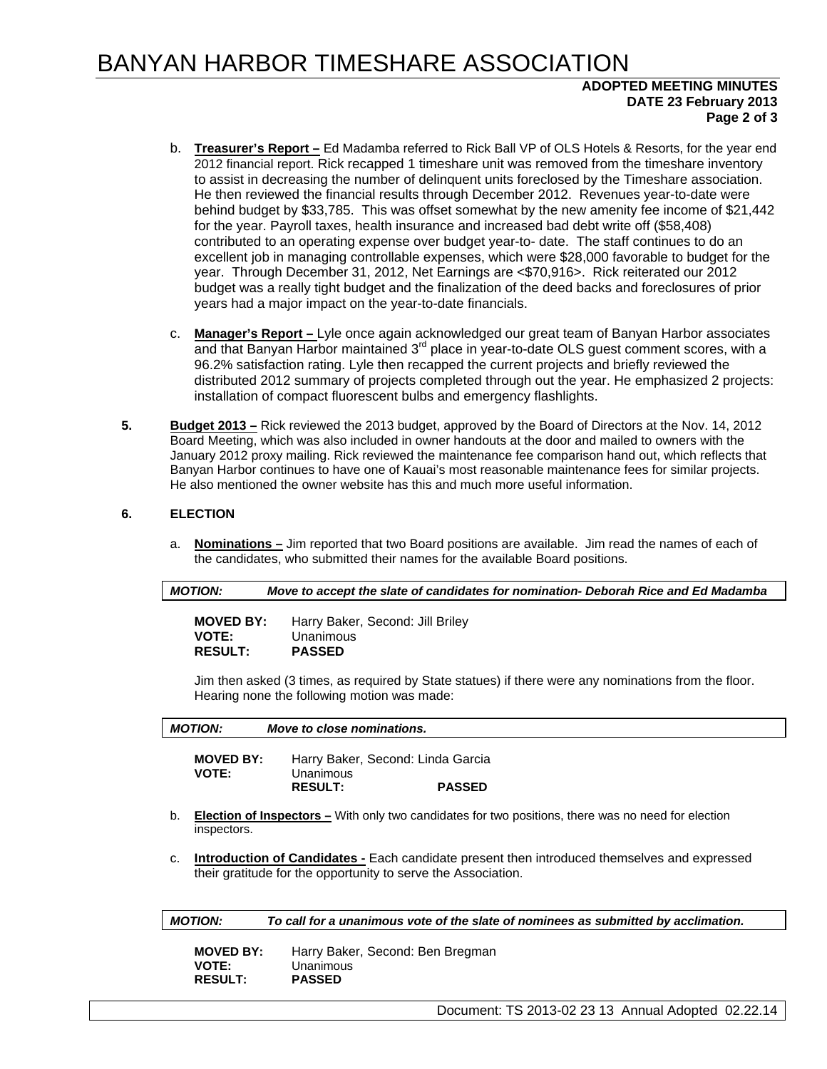# BANYAN HARBOR TIMESHARE ASSOCIATION

### **ADOPTED MEETING MINUTES DATE 23 February 2013 Page 2 of 3**

- b. **Treasurer's Report –** Ed Madamba referred to Rick Ball VP of OLS Hotels & Resorts, for the year end 2012 financial report. Rick recapped 1 timeshare unit was removed from the timeshare inventory to assist in decreasing the number of delinquent units foreclosed by the Timeshare association. He then reviewed the financial results through December 2012. Revenues year-to-date were behind budget by \$33,785. This was offset somewhat by the new amenity fee income of \$21,442 for the year. Payroll taxes, health insurance and increased bad debt write off (\$58,408) contributed to an operating expense over budget year-to- date. The staff continues to do an excellent job in managing controllable expenses, which were \$28,000 favorable to budget for the year. Through December 31, 2012, Net Earnings are <\$70,916>. Rick reiterated our 2012 budget was a really tight budget and the finalization of the deed backs and foreclosures of prior years had a major impact on the year-to-date financials.
- c. **Manager's Report** Lyle once again acknowledged our great team of Banyan Harbor associates and that Banyan Harbor maintained 3<sup>rd</sup> place in year-to-date OLS guest comment scores, with a 96.2% satisfaction rating. Lyle then recapped the current projects and briefly reviewed the distributed 2012 summary of projects completed through out the year. He emphasized 2 projects: installation of compact fluorescent bulbs and emergency flashlights.
- **5. Budget 2013 –** Rick reviewed the 2013 budget, approved by the Board of Directors at the Nov. 14, 2012 Board Meeting, which was also included in owner handouts at the door and mailed to owners with the January 2012 proxy mailing. Rick reviewed the maintenance fee comparison hand out, which reflects that Banyan Harbor continues to have one of Kauai's most reasonable maintenance fees for similar projects. He also mentioned the owner website has this and much more useful information.

### **6. ELECTION**

a. **Nominations –** Jim reported that two Board positions are available. Jim read the names of each of the candidates, who submitted their names for the available Board positions.

| <b>MOTION:</b>                     | Move to accept the slate of candidates for nomination- Deborah Rice and Ed Madamba |
|------------------------------------|------------------------------------------------------------------------------------|
| $\mathbf{H} \mathbf{A} \mathbf{H}$ | $\blacksquare$                                                                     |

| Harry Baker, Second: Jill Briley |
|----------------------------------|
| Unanimous                        |
| <b>PASSED</b>                    |
|                                  |

Jim then asked (3 times, as required by State statues) if there were any nominations from the floor. Hearing none the following motion was made:

|    | <b>MOVED BY:</b><br><b>VOTE:</b> | Harry Baker, Second: Linda Garcia<br>Unanimous                                                             |
|----|----------------------------------|------------------------------------------------------------------------------------------------------------|
|    |                                  | <b>PASSED</b><br><b>RESULT:</b>                                                                            |
|    |                                  |                                                                                                            |
| b. | inspectors.                      | <b>Election of Inspectors</b> – With only two candidates for two positions, there was no need for election |

| <b>MOVED BY:</b> | Harry Baker, Second: Ben Bregman |
|------------------|----------------------------------|
| <b>VOTE:</b>     | Unanimous                        |
| <b>RESULT:</b>   | <b>PASSED</b>                    |

Document: TS 2013-02 23 13 Annual Adopted 02.22.14